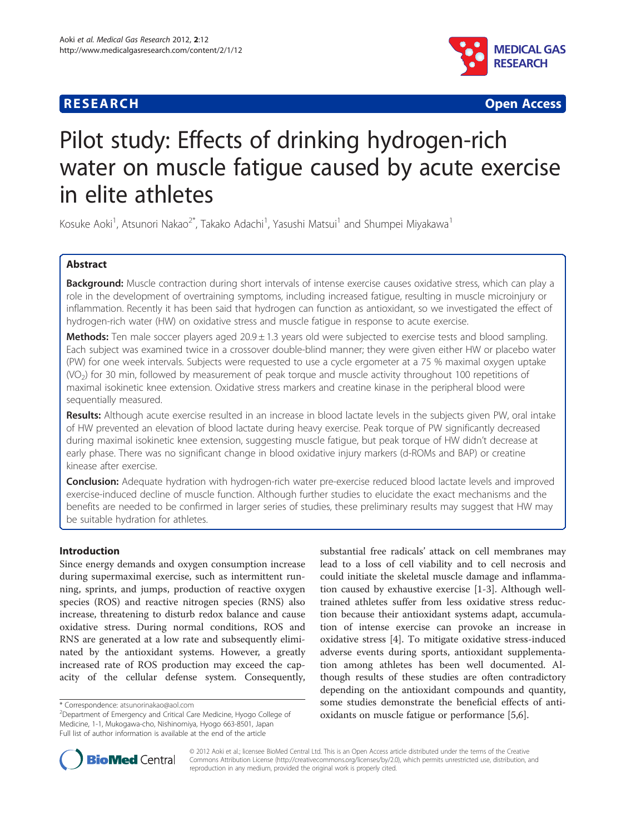# **RESEARCH CHEATER CONTROL**



# Pilot study: Effects of drinking hydrogen-rich water on muscle fatigue caused by acute exercise in elite athletes

Kosuke Aoki<sup>1</sup>, Atsunori Nakao<sup>2\*</sup>, Takako Adachi<sup>1</sup>, Yasushi Matsui<sup>1</sup> and Shumpei Miyakawa<sup>1</sup>

# Abstract

Background: Muscle contraction during short intervals of intense exercise causes oxidative stress, which can play a role in the development of overtraining symptoms, including increased fatigue, resulting in muscle microinjury or inflammation. Recently it has been said that hydrogen can function as antioxidant, so we investigated the effect of hydrogen-rich water (HW) on oxidative stress and muscle fatigue in response to acute exercise.

Methods: Ten male soccer players aged 20.9 ± 1.3 years old were subjected to exercise tests and blood sampling. Each subject was examined twice in a crossover double-blind manner; they were given either HW or placebo water (PW) for one week intervals. Subjects were requested to use a cycle ergometer at a 75 % maximal oxygen uptake (VO2) for 30 min, followed by measurement of peak torque and muscle activity throughout 100 repetitions of maximal isokinetic knee extension. Oxidative stress markers and creatine kinase in the peripheral blood were sequentially measured.

Results: Although acute exercise resulted in an increase in blood lactate levels in the subjects given PW, oral intake of HW prevented an elevation of blood lactate during heavy exercise. Peak torque of PW significantly decreased during maximal isokinetic knee extension, suggesting muscle fatigue, but peak torque of HW didn't decrease at early phase. There was no significant change in blood oxidative injury markers (d-ROMs and BAP) or creatine kinease after exercise.

**Conclusion:** Adequate hydration with hydrogen-rich water pre-exercise reduced blood lactate levels and improved exercise-induced decline of muscle function. Although further studies to elucidate the exact mechanisms and the benefits are needed to be confirmed in larger series of studies, these preliminary results may suggest that HW may be suitable hydration for athletes.

# Introduction

Since energy demands and oxygen consumption increase during supermaximal exercise, such as intermittent running, sprints, and jumps, production of reactive oxygen species (ROS) and reactive nitrogen species (RNS) also increase, threatening to disturb redox balance and cause oxidative stress. During normal conditions, ROS and RNS are generated at a low rate and subsequently eliminated by the antioxidant systems. However, a greatly increased rate of ROS production may exceed the capacity of the cellular defense system. Consequently,

substantial free radicals' attack on cell membranes may lead to a loss of cell viability and to cell necrosis and could initiate the skeletal muscle damage and inflammation caused by exhaustive exercise [\[1](#page-4-0)-[3\]](#page-4-0). Although welltrained athletes suffer from less oxidative stress reduction because their antioxidant systems adapt, accumulation of intense exercise can provoke an increase in oxidative stress [\[4](#page-4-0)]. To mitigate oxidative stress-induced adverse events during sports, antioxidant supplementation among athletes has been well documented. Although results of these studies are often contradictory depending on the antioxidant compounds and quantity, some studies demonstrate the beneficial effects of antioxidants on muscle fatigue or performance [\[5,6](#page-4-0)].



© 2012 Aoki et al.; licensee BioMed Central Ltd. This is an Open Access article distributed under the terms of the Creative Commons Attribution License (http://creativecommons.org/licenses/by/2.0), which permits unrestricted use, distribution, and reproduction in any medium, provided the original work is properly cited.

<sup>\*</sup> Correspondence: [atsunorinakao@aol.com](mailto:atsunorinakao@aol.com) <sup>2</sup>

<sup>&</sup>lt;sup>2</sup>Department of Emergency and Critical Care Medicine, Hyogo College of Medicine, 1-1, Mukogawa-cho, Nishinomiya, Hyogo 663-8501, Japan Full list of author information is available at the end of the article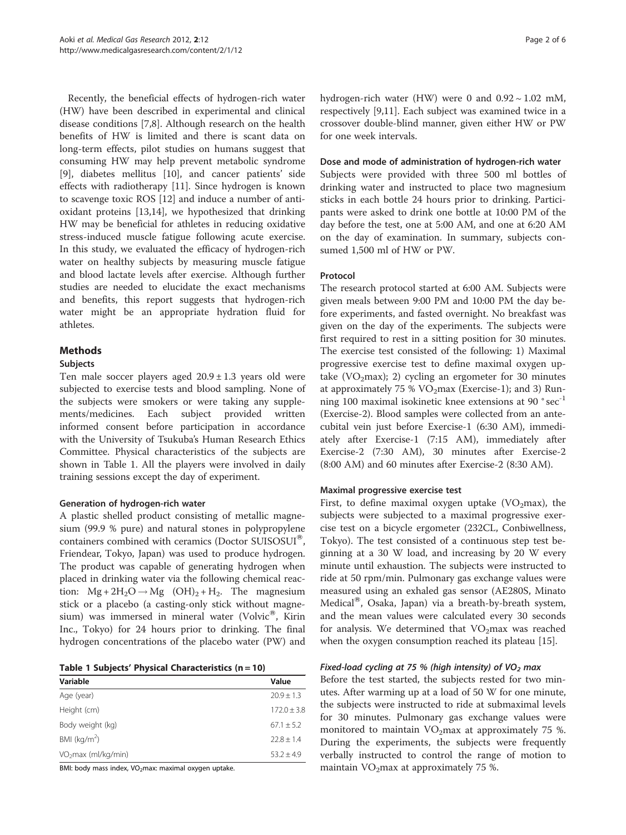Recently, the beneficial effects of hydrogen-rich water (HW) have been described in experimental and clinical disease conditions [\[7,8](#page-4-0)]. Although research on the health benefits of HW is limited and there is scant data on long-term effects, pilot studies on humans suggest that consuming HW may help prevent metabolic syndrome [[9\]](#page-4-0), diabetes mellitus [\[10\]](#page-4-0), and cancer patients' side effects with radiotherapy [\[11](#page-4-0)]. Since hydrogen is known to scavenge toxic ROS [\[12](#page-4-0)] and induce a number of antioxidant proteins [\[13,14\]](#page-4-0), we hypothesized that drinking HW may be beneficial for athletes in reducing oxidative stress-induced muscle fatigue following acute exercise. In this study, we evaluated the efficacy of hydrogen-rich water on healthy subjects by measuring muscle fatigue and blood lactate levels after exercise. Although further studies are needed to elucidate the exact mechanisms and benefits, this report suggests that hydrogen-rich water might be an appropriate hydration fluid for athletes.

# Methods

## Subjects

Ten male soccer players aged  $20.9 \pm 1.3$  years old were subjected to exercise tests and blood sampling. None of the subjects were smokers or were taking any supplements/medicines. Each subject provided written informed consent before participation in accordance with the University of Tsukuba's Human Research Ethics Committee. Physical characteristics of the subjects are shown in Table 1. All the players were involved in daily training sessions except the day of experiment.

# Generation of hydrogen-rich water

A plastic shelled product consisting of metallic magnesium (99.9 % pure) and natural stones in polypropylene containers combined with ceramics (Doctor SUISOSUI<sup>®</sup>, Friendear, Tokyo, Japan) was used to produce hydrogen. The product was capable of generating hydrogen when placed in drinking water via the following chemical reaction:  $Mg + 2H_2O \rightarrow Mg$   $(OH)_2 + H_2$ . The magnesium stick or a placebo (a casting-only stick without magnesium) was immersed in mineral water (Volvic $^{\circledR}$ , Kirin Inc., Tokyo) for 24 hours prior to drinking. The final hydrogen concentrations of the placebo water (PW) and

|  |  |  |  | Table 1 Subjects' Physical Characteristics (n = 10) |  |
|--|--|--|--|-----------------------------------------------------|--|
|--|--|--|--|-----------------------------------------------------|--|

| Variable                        | Value         |
|---------------------------------|---------------|
| Age (year)                      | $20.9 + 1.3$  |
| Height (cm)                     | $172.0 + 3.8$ |
| Body weight (kg)                | $67.1 + 5.2$  |
| BMI ( $kg/m2$ )                 | $72.8 + 1.4$  |
| VO <sub>2</sub> max (ml/kg/min) | $53.2 + 4.9$  |

BMI: body mass index, VO<sub>2</sub>max: maximal oxygen uptake.

hydrogen-rich water (HW) were 0 and  $0.92 \sim 1.02$  mM, respectively [\[9,11](#page-4-0)]. Each subject was examined twice in a crossover double-blind manner, given either HW or PW for one week intervals.

#### Dose and mode of administration of hydrogen-rich water

Subjects were provided with three 500 ml bottles of drinking water and instructed to place two magnesium sticks in each bottle 24 hours prior to drinking. Participants were asked to drink one bottle at 10:00 PM of the day before the test, one at 5:00 AM, and one at 6:20 AM on the day of examination. In summary, subjects consumed 1,500 ml of HW or PW.

#### Protocol

The research protocol started at 6:00 AM. Subjects were given meals between 9:00 PM and 10:00 PM the day before experiments, and fasted overnight. No breakfast was given on the day of the experiments. The subjects were first required to rest in a sitting position for 30 minutes. The exercise test consisted of the following: 1) Maximal progressive exercise test to define maximal oxygen uptake (VO<sub>2</sub>max); 2) cycling an ergometer for 30 minutes at approximately 75 %  $VO<sub>2</sub>max$  (Exercise-1); and 3) Running 100 maximal isokinetic knee extensions at 90 ° sec-1 (Exercise-2). Blood samples were collected from an antecubital vein just before Exercise-1 (6:30 AM), immediately after Exercise-1 (7:15 AM), immediately after Exercise-2 (7:30 AM), 30 minutes after Exercise-2 (8:00 AM) and 60 minutes after Exercise-2 (8:30 AM).

### Maximal progressive exercise test

First, to define maximal oxygen uptake ( $VO<sub>2</sub>$ max), the subjects were subjected to a maximal progressive exercise test on a bicycle ergometer (232CL, Conbiwellness, Tokyo). The test consisted of a continuous step test beginning at a 30 W load, and increasing by 20 W every minute until exhaustion. The subjects were instructed to ride at 50 rpm/min. Pulmonary gas exchange values were measured using an exhaled gas sensor (AE280S, Minato Medical<sup>®</sup>, Osaka, Japan) via a breath-by-breath system, and the mean values were calculated every 30 seconds for analysis. We determined that  $VO<sub>2</sub>$ max was reached when the oxygen consumption reached its plateau [[15](#page-4-0)].

#### Fixed-load cycling at 75 % (high intensity) of  $VO<sub>2</sub>$  max

Before the test started, the subjects rested for two minutes. After warming up at a load of 50 W for one minute, the subjects were instructed to ride at submaximal levels for 30 minutes. Pulmonary gas exchange values were monitored to maintain  $VO<sub>2</sub>$  max at approximately 75 %. During the experiments, the subjects were frequently verbally instructed to control the range of motion to maintain  $VO<sub>2</sub>$ max at approximately 75 %.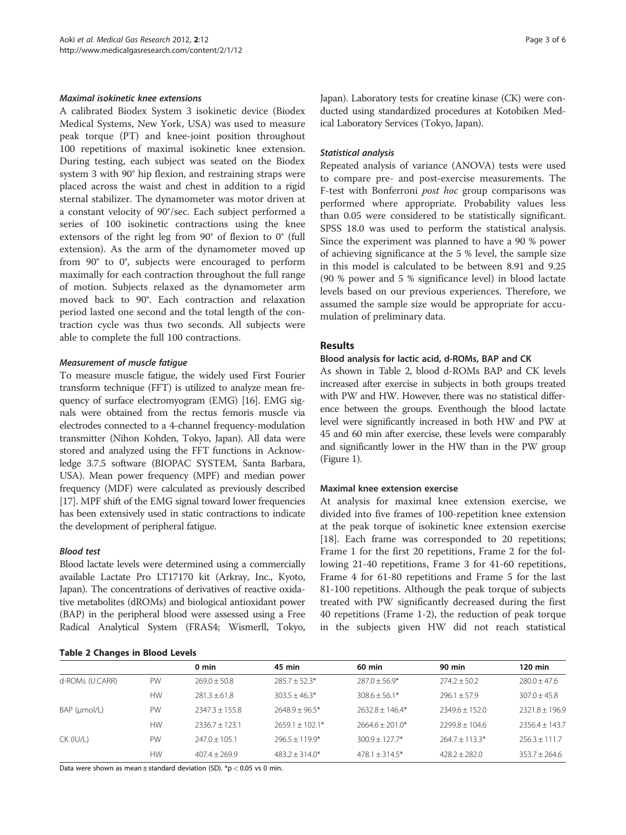#### Maximal isokinetic knee extensions

A calibrated Biodex System 3 isokinetic device (Biodex Medical Systems, New York, USA) was used to measure peak torque (PT) and knee-joint position throughout 100 repetitions of maximal isokinetic knee extension. During testing, each subject was seated on the Biodex system 3 with 90° hip flexion, and restraining straps were placed across the waist and chest in addition to a rigid sternal stabilizer. The dynamometer was motor driven at a constant velocity of 90°/sec. Each subject performed a series of 100 isokinetic contractions using the knee extensors of the right leg from 90° of flexion to 0° (full extension). As the arm of the dynamometer moved up from 90° to 0°, subjects were encouraged to perform maximally for each contraction throughout the full range of motion. Subjects relaxed as the dynamometer arm moved back to 90°. Each contraction and relaxation period lasted one second and the total length of the contraction cycle was thus two seconds. All subjects were able to complete the full 100 contractions.

#### Measurement of muscle fatigue

To measure muscle fatigue, the widely used First Fourier transform technique (FFT) is utilized to analyze mean frequency of surface electromyogram (EMG) [\[16\]](#page-4-0). EMG signals were obtained from the rectus femoris muscle via electrodes connected to a 4-channel frequency-modulation transmitter (Nihon Kohden, Tokyo, Japan). All data were stored and analyzed using the FFT functions in Acknowledge 3.7.5 software (BIOPAC SYSTEM, Santa Barbara, USA). Mean power frequency (MPF) and median power frequency (MDF) were calculated as previously described [[17](#page-4-0)]. MPF shift of the EMG signal toward lower frequencies has been extensively used in static contractions to indicate the development of peripheral fatigue.

#### Blood test

Blood lactate levels were determined using a commercially available Lactate Pro LT17170 kit (Arkray, Inc., Kyoto, Japan). The concentrations of derivatives of reactive oxidative metabolites (dROMs) and biological antioxidant power (BAP) in the peripheral blood were assessed using a Free Radical Analytical System (FRAS4; Wismerll, Tokyo,

| <b>Table 2 Changes in Blood Levels</b> |  |  |  |
|----------------------------------------|--|--|--|
|----------------------------------------|--|--|--|

Japan). Laboratory tests for creatine kinase (CK) were conducted using standardized procedures at Kotobiken Medical Laboratory Services (Tokyo, Japan).

#### Statistical analysis

Repeated analysis of variance (ANOVA) tests were used to compare pre- and post-exercise measurements. The F-test with Bonferroni post hoc group comparisons was performed where appropriate. Probability values less than 0.05 were considered to be statistically significant. SPSS 18.0 was used to perform the statistical analysis. Since the experiment was planned to have a 90 % power of achieving significance at the 5 % level, the sample size in this model is calculated to be between 8.91 and 9.25 (90 % power and 5 % significance level) in blood lactate levels based on our previous experiences. Therefore, we assumed the sample size would be appropriate for accumulation of preliminary data.

#### Results

#### Blood analysis for lactic acid, d-ROMs, BAP and CK

As shown in Table 2, blood d-ROMs BAP and CK levels increased after exercise in subjects in both groups treated with PW and HW. However, there was no statistical difference between the groups. Eventhough the blood lactate level were significantly increased in both HW and PW at 45 and 60 min after exercise, these levels were comparably and significantly lower in the HW than in the PW group (Figure [1\)](#page-3-0).

#### Maximal knee extension exercise

At analysis for maximal knee extension exercise, we divided into five frames of 100-repetition knee extension at the peak torque of isokinetic knee extension exercise [[18\]](#page-4-0). Each frame was corresponded to 20 repetitions; Frame 1 for the first 20 repetitions, Frame 2 for the following 21-40 repetitions, Frame 3 for 41-60 repetitions, Frame 4 for 61-80 repetitions and Frame 5 for the last 81-100 repetitions. Although the peak torque of subjects treated with PW significantly decreased during the first 40 repetitions (Frame 1-2), the reduction of peak torque in the subjects given HW did not reach statistical

|                 |           | 0 min            | 45 min            | 60 min            | 90 min           | 120 min           |  |
|-----------------|-----------|------------------|-------------------|-------------------|------------------|-------------------|--|
| d-ROMs (U.CARR) | PW        | $769.0 + 50.8$   | $785.7 + 52.3*$   | $787.0 + 56.9*$   | $274.2 + 50.2$   | $780.0 + 47.6$    |  |
|                 | <b>HW</b> | $281.3 + 61.8$   | $303.5 + 46.3*$   | $308.6 + 56.1*$   | $296.1 + 57.9$   | $307.0 + 45.8$    |  |
| BAP (µmol/L)    | PW        | $2347.3 + 155.8$ | $7648.9 + 96.5*$  | $7632.8 + 146.4*$ | $2349.6 + 152.0$ | $2321.8 + 196.9$  |  |
|                 | <b>HW</b> | $2336.7 + 123.1$ | $7659.1 + 102.1*$ | $7664.6 + 701.0*$ | $7799.8 + 104.6$ | $2356.4 + 143.7$  |  |
| $CK$ (IU/L)     | PW        | $747.0 + 105.1$  | $796.5 + 119.9*$  | $300.9 + 127.7*$  | $764.7 + 113.3*$ | $256.3 + 111.7$   |  |
|                 | <b>HW</b> | $407.4 + 269.9$  | $483.2 + 314.0*$  | $478.1 + 314.5*$  | $428.2 + 282.0$  | $353.7 \pm 264.6$ |  |

Data were shown as mean  $\pm$  standard deviation (SD). \*p < 0.05 vs 0 min.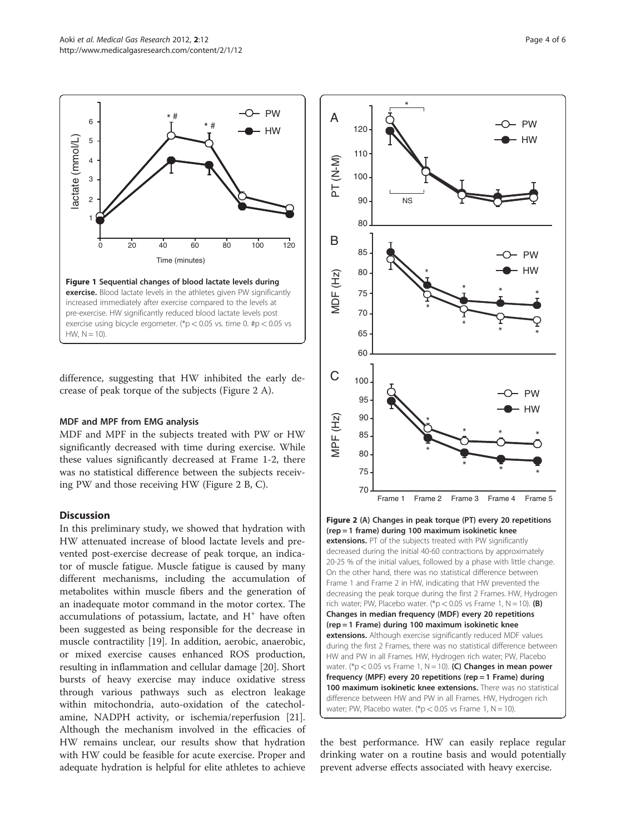<span id="page-3-0"></span>

difference, suggesting that HW inhibited the early decrease of peak torque of the subjects (Figure 2 A).

#### MDF and MPF from EMG analysis

MDF and MPF in the subjects treated with PW or HW significantly decreased with time during exercise. While these values significantly decreased at Frame 1-2, there was no statistical difference between the subjects receiving PW and those receiving HW (Figure 2 B, C).

## **Discussion**

In this preliminary study, we showed that hydration with HW attenuated increase of blood lactate levels and prevented post-exercise decrease of peak torque, an indicator of muscle fatigue. Muscle fatigue is caused by many different mechanisms, including the accumulation of metabolites within muscle fibers and the generation of an inadequate motor command in the motor cortex. The accumulations of potassium, lactate, and  $H^+$  have often been suggested as being responsible for the decrease in muscle contractility [\[19\]](#page-5-0). In addition, aerobic, anaerobic, or mixed exercise causes enhanced ROS production, resulting in inflammation and cellular damage [\[20](#page-5-0)]. Short bursts of heavy exercise may induce oxidative stress through various pathways such as electron leakage within mitochondria, auto-oxidation of the catecholamine, NADPH activity, or ischemia/reperfusion [\[21](#page-5-0)]. Although the mechanism involved in the efficacies of HW remains unclear, our results show that hydration with HW could be feasible for acute exercise. Proper and adequate hydration is helpful for elite athletes to achieve



Figure 2 (A) Changes in peak torque (PT) every 20 repetitions (rep = 1 frame) during 100 maximum isokinetic knee extensions. PT of the subjects treated with PW significantly decreased during the initial 40-60 contractions by approximately 20-25 % of the initial values, followed by a phase with little change. On the other hand, there was no statistical difference between Frame 1 and Frame 2 in HW, indicating that HW prevented the decreasing the peak torque during the first 2 Frames. HW, Hydrogen rich water; PW, Placebo water. (\*p < 0.05 vs Frame 1, N = 10). (B) Changes in median frequency (MDF) every 20 repetitions (rep = 1 Frame) during 100 maximum isokinetic knee extensions. Although exercise significantly reduced MDF values during the first 2 Frames, there was no statistical difference between HW and PW in all Frames. HW, Hydrogen rich water; PW, Placebo water. ( $p < 0.05$  vs Frame 1, N = 10). (C) Changes in mean power frequency (MPF) every 20 repetitions (rep = 1 Frame) during 100 maximum isokinetic knee extensions. There was no statistical difference between HW and PW in all Frames. HW, Hydrogen rich water; PW, Placebo water. (\*p < 0.05 vs Frame 1, N = 10).

the best performance. HW can easily replace regular drinking water on a routine basis and would potentially prevent adverse effects associated with heavy exercise.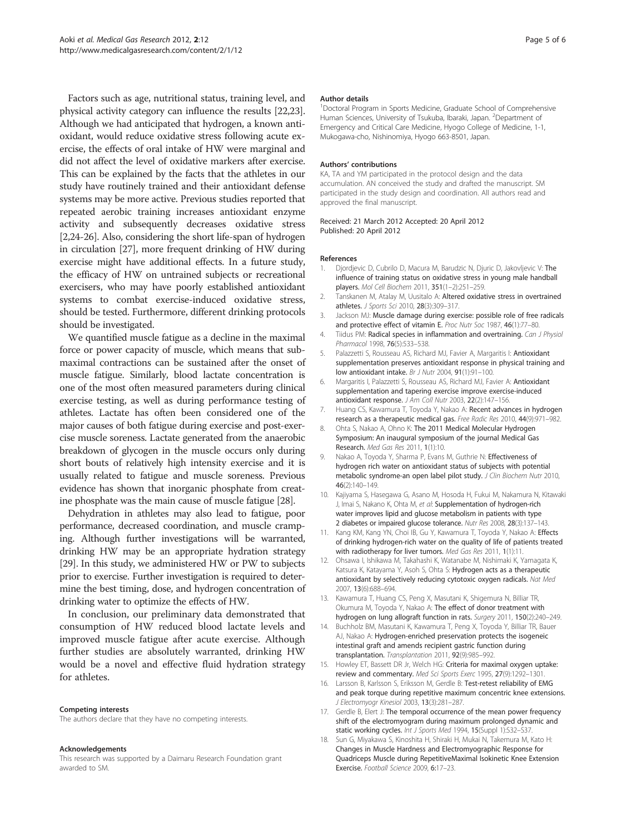<span id="page-4-0"></span>Factors such as age, nutritional status, training level, and physical activity category can influence the results [\[22,23](#page-5-0)]. Although we had anticipated that hydrogen, a known antioxidant, would reduce oxidative stress following acute exercise, the effects of oral intake of HW were marginal and did not affect the level of oxidative markers after exercise. This can be explained by the facts that the athletes in our study have routinely trained and their antioxidant defense systems may be more active. Previous studies reported that repeated aerobic training increases antioxidant enzyme activity and subsequently decreases oxidative stress [2,[24](#page-5-0)-[26](#page-5-0)]. Also, considering the short life-span of hydrogen in circulation [[27](#page-5-0)], more frequent drinking of HW during exercise might have additional effects. In a future study, the efficacy of HW on untrained subjects or recreational exercisers, who may have poorly established antioxidant systems to combat exercise-induced oxidative stress, should be tested. Furthermore, different drinking protocols should be investigated.

We quantified muscle fatigue as a decline in the maximal force or power capacity of muscle, which means that submaximal contractions can be sustained after the onset of muscle fatigue. Similarly, blood lactate concentration is one of the most often measured parameters during clinical exercise testing, as well as during performance testing of athletes. Lactate has often been considered one of the major causes of both fatigue during exercise and post-exercise muscle soreness. Lactate generated from the anaerobic breakdown of glycogen in the muscle occurs only during short bouts of relatively high intensity exercise and it is usually related to fatigue and muscle soreness. Previous evidence has shown that inorganic phosphate from creatine phosphate was the main cause of muscle fatigue [[28](#page-5-0)].

Dehydration in athletes may also lead to fatigue, poor performance, decreased coordination, and muscle cramping. Although further investigations will be warranted, drinking HW may be an appropriate hydration strategy [[29](#page-5-0)]. In this study, we administered HW or PW to subjects prior to exercise. Further investigation is required to determine the best timing, dose, and hydrogen concentration of drinking water to optimize the effects of HW.

In conclusion, our preliminary data demonstrated that consumption of HW reduced blood lactate levels and improved muscle fatigue after acute exercise. Although further studies are absolutely warranted, drinking HW would be a novel and effective fluid hydration strategy for athletes.

#### Competing interests

The authors declare that they have no competing interests.

#### Acknowledgements

This research was supported by a Daimaru Research Foundation grant awarded to SM.

#### Author details

<sup>1</sup>Doctoral Program in Sports Medicine, Graduate School of Comprehensive Human Sciences, University of Tsukuba, Ibaraki, Japan. <sup>2</sup>Department of Emergency and Critical Care Medicine, Hyogo College of Medicine, 1-1, Mukogawa-cho, Nishinomiya, Hyogo 663-8501, Japan.

#### Authors' contributions

KA, TA and YM participated in the protocol design and the data accumulation. AN conceived the study and drafted the manuscript. SM participated in the study design and coordination. All authors read and approved the final manuscript.

#### Received: 21 March 2012 Accepted: 20 April 2012 Published: 20 April 2012

#### References

- 1. Djordjevic D, Cubrilo D, Macura M, Barudzic N, Djuric D, Jakovljevic V: The influence of training status on oxidative stress in young male handball players. Mol Cell Biochem 2011, 351(1–2):251–259.
- 2. Tanskanen M, Atalay M, Uusitalo A: Altered oxidative stress in overtrained athletes. J Sports Sci 2010, 28(3):309–317.
- 3. Jackson MJ: Muscle damage during exercise: possible role of free radicals and protective effect of vitamin E. Proc Nutr Soc 1987, 46(1):77-80.
- 4. Tiidus PM: Radical species in inflammation and overtraining. Can J Physiol Pharmacol 1998, 76(5):533–538.
- 5. Palazzetti S, Rousseau AS, Richard MJ, Favier A, Margaritis I: Antioxidant supplementation preserves antioxidant response in physical training and low antioxidant intake. Br J Nutr 2004, 91(1):91–100.
- 6. Margaritis I, Palazzetti S, Rousseau AS, Richard MJ, Favier A: Antioxidant supplementation and tapering exercise improve exercise-induced antioxidant response. J Am Coll Nutr 2003, 22(2):147-156.
- 7. Huang CS, Kawamura T, Toyoda Y, Nakao A: Recent advances in hydrogen research as a therapeutic medical gas. Free Radic Res 2010, 44(9):971–982.
- Ohta S, Nakao A, Ohno K: The 2011 Medical Molecular Hydrogen Symposium: An inaugural symposium of the journal Medical Gas Research. Med Gas Res 2011, 1(1):10.
- 9. Nakao A, Toyoda Y, Sharma P, Evans M, Guthrie N: Effectiveness of hydrogen rich water on antioxidant status of subjects with potential metabolic syndrome-an open label pilot study. J Clin Biochem Nutr 2010, 46(2):140–149.
- 10. Kajiyama S, Hasegawa G, Asano M, Hosoda H, Fukui M, Nakamura N, Kitawaki J, Imai S, Nakano K, Ohta M, et al: Supplementation of hydrogen-rich water improves lipid and glucose metabolism in patients with type 2 diabetes or impaired glucose tolerance. Nutr Res 2008, 28(3):137–143.
- 11. Kang KM, Kang YN, Choi IB, Gu Y, Kawamura T, Toyoda Y, Nakao A: Effects of drinking hydrogen-rich water on the quality of life of patients treated with radiotherapy for liver tumors. Med Gas Res 2011, 1(1):11.
- 12. Ohsawa I, Ishikawa M, Takahashi K, Watanabe M, Nishimaki K, Yamagata K, Katsura K, Katayama Y, Asoh S, Ohta S: Hydrogen acts as a therapeutic antioxidant by selectively reducing cytotoxic oxygen radicals. Nat Med 2007, 13(6):688–694.
- 13. Kawamura T, Huang CS, Peng X, Masutani K, Shigemura N, Billiar TR, Okumura M, Toyoda Y, Nakao A: The effect of donor treatment with hydrogen on lung allograft function in rats. Surgery 2011, 150(2):240–249.
- 14. Buchholz BM, Masutani K, Kawamura T, Peng X, Toyoda Y, Billiar TR, Bauer AJ, Nakao A: Hydrogen-enriched preservation protects the isogeneic intestinal graft and amends recipient gastric function during transplantation. Transplantation 2011, 92(9):985–992.
- 15. Howley ET, Bassett DR Jr, Welch HG: Criteria for maximal oxygen uptake: review and commentary. Med Sci Sports Exerc 1995, 27(9):1292–1301.
- 16. Larsson B, Karlsson S, Eriksson M, Gerdle B: Test-retest reliability of EMG and peak torque during repetitive maximum concentric knee extensions. J Electromyogr Kinesiol 2003, 13(3):281–287.
- 17. Gerdle B, Elert J: The temporal occurrence of the mean power frequency shift of the electromyogram during maximum prolonged dynamic and static working cycles. Int J Sports Med 1994, 15(Suppl 1):S32-S37.
- 18. Sun G, Miyakawa S, Kinoshita H, Shiraki H, Mukai N, Takemura M, Kato H: Changes in Muscle Hardness and Electromyographic Response for Quadriceps Muscle during RepetitiveMaximal Isokinetic Knee Extension Exercise. Football Science 2009, 6:17–23.